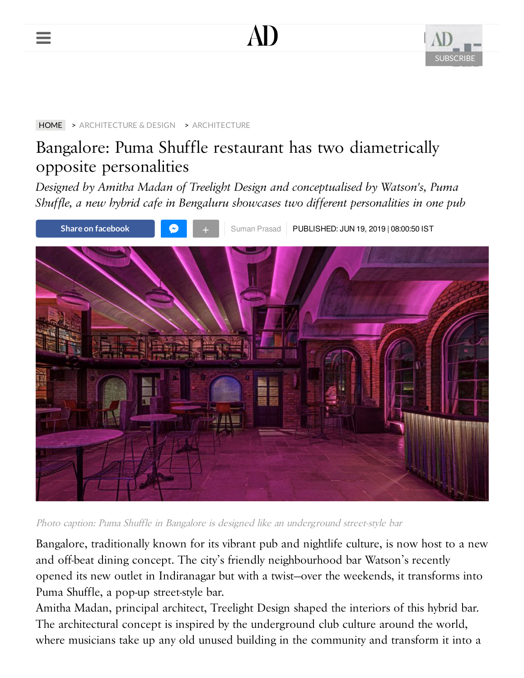





#### [HOME](https://www.architecturaldigest.in/) > [ARCHITECTURE & DESIGN](https://www.architecturaldigest.in/architecture-design/) > [ARCHITECTURE](https://www.architecturaldigest.in/architecture-design/architecture/)

# Bangalore: Puma Shuffle restaurant has two diametrically opposite personalities

*Designed by Amitha Madan of Treelight Design and conceptualised by Watson's, Puma Shuffle, a new hybrid cafe in Bengaluru showcases two different personalities in one pub*



Photo caption: Puma Shuffle in Bangalore is designed like an underground street-style bar

Bangalore, traditionally known for its vibrant pub and nightlife culture, is now host to a new and off-beat dining concept. The city's friendly neighbourhood bar Watson's recently opened its new outlet in Indiranagar but with a twist—over the weekends, it transforms into Puma Shuffle, a pop-up street-style bar.

Amitha Madan, principal architect, Treelight Design shaped the interiors of this hybrid bar. The architectural concept is inspired by the underground club culture around the world, where musicians take up any old unused building in the community and transform it into a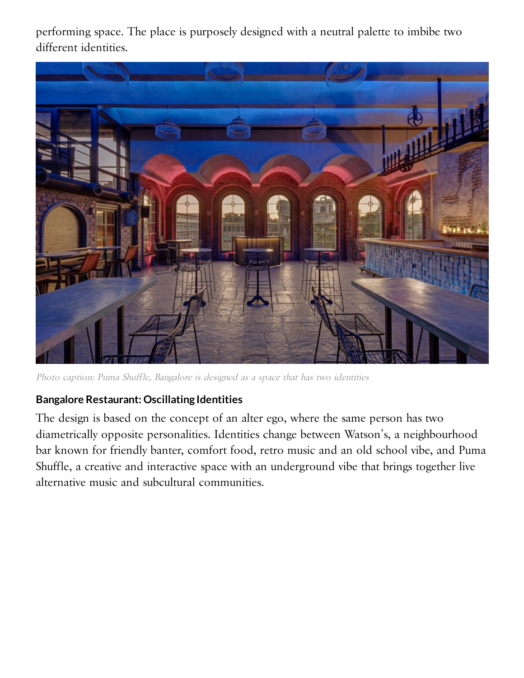performing space. The place is purposely designed with a neutral palette to imbibe two different identities.



Photo caption: Puma Shuffle, Bangalore is designed as <sup>a</sup> space that has two identities

## **Bangalore Restaurant: Oscillating Identities**

The design is based on the concept of an alter ego, where the same person has two diametrically opposite personalities. Identities change between Watson's, a neighbourhood bar known for friendly banter, comfort food, retro music and an old school vibe, and Puma Shuffle, a creative and interactive space with an underground vibe that brings together live alternative music and subcultural communities.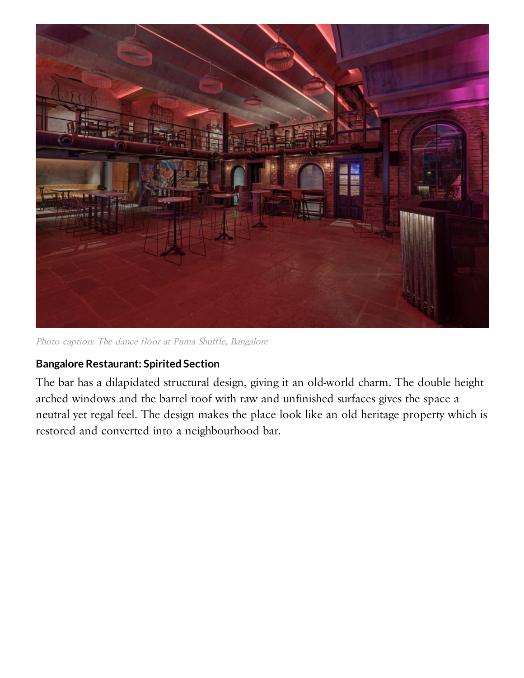

Photo caption: The dance floor at Puma Shuffle, Bangalore

### **Bangalore Restaurant: Spirited Section**

The bar has a dilapidated structural design, giving it an old-world charm. The double height arched windows and the barrel roof with raw and unfinished surfaces gives the space a neutral yet regal feel. The design makes the place look like an old heritage property which is restored and converted into a neighbourhood bar.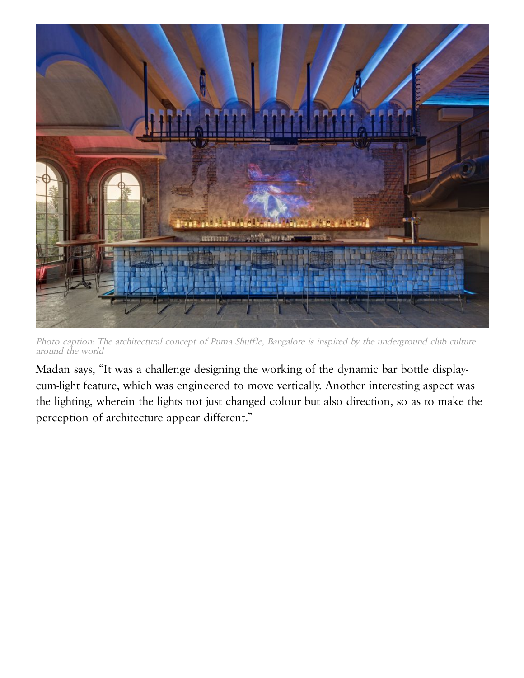

Photo caption: The architectural concept of Puma Shuffle, Bangalore is inspired by the underground club culture around the world

Madan says, "It was a challenge designing the working of the dynamic bar bottle displaycum-light feature, which was engineered to move vertically. Another interesting aspect was the lighting, wherein the lights not just changed colour but also direction, so as to make the perception of architecture appear different."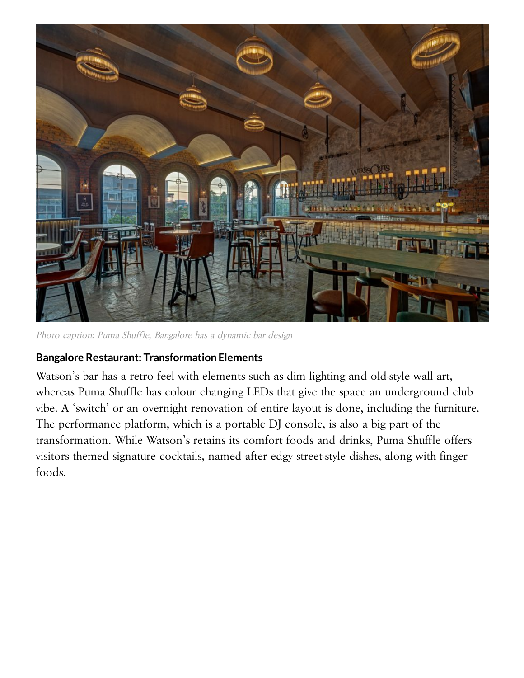

Photo caption: Puma Shuffle, Bangalore has <sup>a</sup> dynamic bar design

### **Bangalore Restaurant: Transformation Elements**

Watson's bar has a retro feel with elements such as dim lighting and old-style wall art, whereas Puma Shuffle has colour changing LEDs that give the space an underground club vibe. A 'switch' or an overnight renovation of entire layout is done, including the furniture. The performance platform, which is a portable DJ console, is also a big part of the transformation. While Watson's retains its comfort foods and drinks, Puma Shuffle offers visitors themed signature cocktails, named after edgy street-style dishes, along with finger foods.